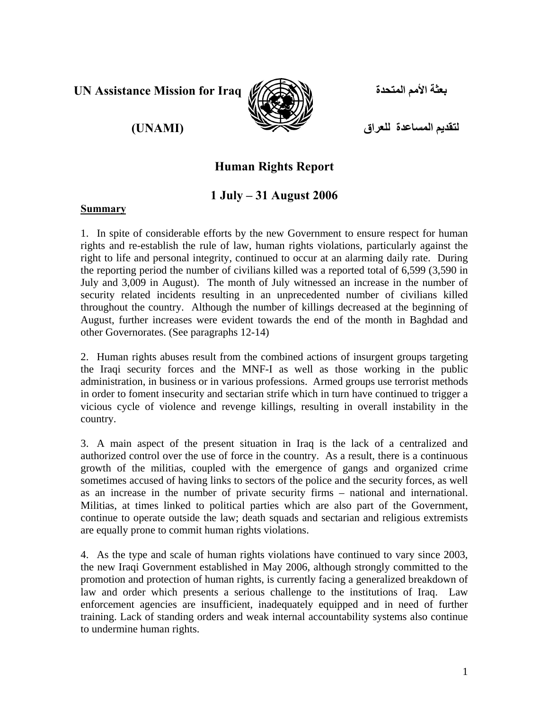**UN Assistance Mission for Iraq**

# **(UNAMI)**



**بعثة الأمم المتحدة**

**لتقديم المساعدة للعراق**

# **Human Rights Report**

# **1 July – 31 August 2006**

#### **Summary**

1. In spite of considerable efforts by the new Government to ensure respect for human rights and re-establish the rule of law, human rights violations, particularly against the right to life and personal integrity, continued to occur at an alarming daily rate. During the reporting period the number of civilians killed was a reported total of 6,599 (3,590 in July and 3,009 in August). The month of July witnessed an increase in the number of security related incidents resulting in an unprecedented number of civilians killed throughout the country. Although the number of killings decreased at the beginning of August, further increases were evident towards the end of the month in Baghdad and other Governorates. (See paragraphs 12-14)

2. Human rights abuses result from the combined actions of insurgent groups targeting the Iraqi security forces and the MNF-I as well as those working in the public administration, in business or in various professions. Armed groups use terrorist methods in order to foment insecurity and sectarian strife which in turn have continued to trigger a vicious cycle of violence and revenge killings, resulting in overall instability in the country.

3. A main aspect of the present situation in Iraq is the lack of a centralized and authorized control over the use of force in the country. As a result, there is a continuous growth of the militias, coupled with the emergence of gangs and organized crime sometimes accused of having links to sectors of the police and the security forces, as well as an increase in the number of private security firms – national and international. Militias, at times linked to political parties which are also part of the Government, continue to operate outside the law; death squads and sectarian and religious extremists are equally prone to commit human rights violations.

4. As the type and scale of human rights violations have continued to vary since 2003, the new Iraqi Government established in May 2006, although strongly committed to the promotion and protection of human rights, is currently facing a generalized breakdown of law and order which presents a serious challenge to the institutions of Iraq. Law enforcement agencies are insufficient, inadequately equipped and in need of further training. Lack of standing orders and weak internal accountability systems also continue to undermine human rights.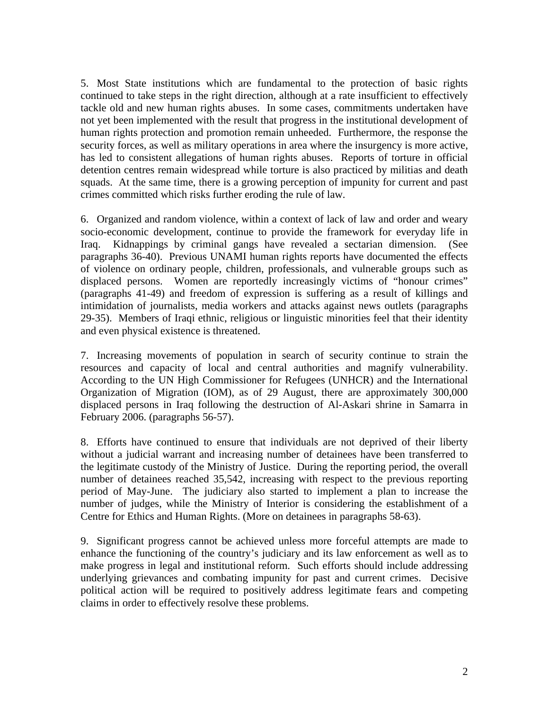5. Most State institutions which are fundamental to the protection of basic rights continued to take steps in the right direction, although at a rate insufficient to effectively tackle old and new human rights abuses. In some cases, commitments undertaken have not yet been implemented with the result that progress in the institutional development of human rights protection and promotion remain unheeded. Furthermore, the response the security forces, as well as military operations in area where the insurgency is more active, has led to consistent allegations of human rights abuses. Reports of torture in official detention centres remain widespread while torture is also practiced by militias and death squads. At the same time, there is a growing perception of impunity for current and past crimes committed which risks further eroding the rule of law.

6. Organized and random violence, within a context of lack of law and order and weary socio-economic development, continue to provide the framework for everyday life in Iraq. Kidnappings by criminal gangs have revealed a sectarian dimension. (See paragraphs 36-40). Previous UNAMI human rights reports have documented the effects of violence on ordinary people, children, professionals, and vulnerable groups such as displaced persons. Women are reportedly increasingly victims of "honour crimes" (paragraphs 41-49) and freedom of expression is suffering as a result of killings and intimidation of journalists, media workers and attacks against news outlets (paragraphs 29-35). Members of Iraqi ethnic, religious or linguistic minorities feel that their identity and even physical existence is threatened.

7. Increasing movements of population in search of security continue to strain the resources and capacity of local and central authorities and magnify vulnerability. According to the UN High Commissioner for Refugees (UNHCR) and the International Organization of Migration (IOM), as of 29 August, there are approximately 300,000 displaced persons in Iraq following the destruction of Al-Askari shrine in Samarra in February 2006. (paragraphs 56-57).

8. Efforts have continued to ensure that individuals are not deprived of their liberty without a judicial warrant and increasing number of detainees have been transferred to the legitimate custody of the Ministry of Justice. During the reporting period, the overall number of detainees reached 35,542, increasing with respect to the previous reporting period of May-June. The judiciary also started to implement a plan to increase the number of judges, while the Ministry of Interior is considering the establishment of a Centre for Ethics and Human Rights. (More on detainees in paragraphs 58-63).

9. Significant progress cannot be achieved unless more forceful attempts are made to enhance the functioning of the country's judiciary and its law enforcement as well as to make progress in legal and institutional reform. Such efforts should include addressing underlying grievances and combating impunity for past and current crimes. Decisive political action will be required to positively address legitimate fears and competing claims in order to effectively resolve these problems.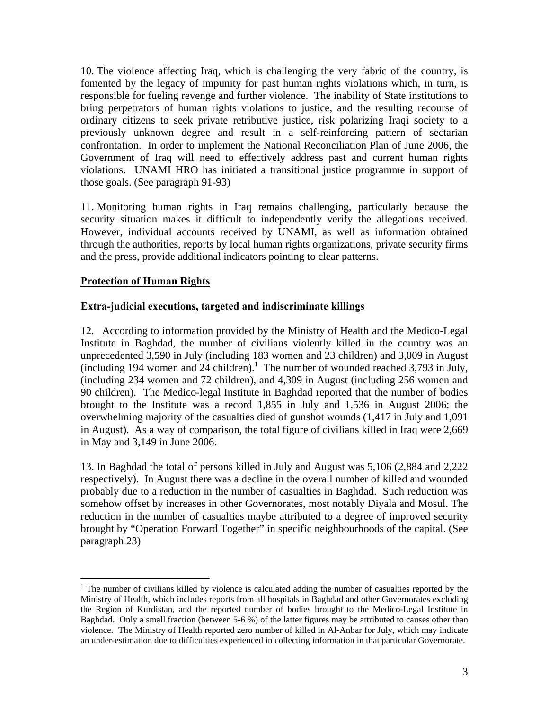10. The violence affecting Iraq, which is challenging the very fabric of the country, is fomented by the legacy of impunity for past human rights violations which, in turn, is responsible for fueling revenge and further violence. The inability of State institutions to bring perpetrators of human rights violations to justice, and the resulting recourse of ordinary citizens to seek private retributive justice, risk polarizing Iraqi society to a previously unknown degree and result in a self-reinforcing pattern of sectarian confrontation. In order to implement the National Reconciliation Plan of June 2006, the Government of Iraq will need to effectively address past and current human rights violations. UNAMI HRO has initiated a transitional justice programme in support of those goals. (See paragraph 91-93)

11. Monitoring human rights in Iraq remains challenging, particularly because the security situation makes it difficult to independently verify the allegations received. However, individual accounts received by UNAMI, as well as information obtained through the authorities, reports by local human rights organizations, private security firms and the press, provide additional indicators pointing to clear patterns.

## **Protection of Human Rights**

 $\overline{a}$ 

#### **Extra-judicial executions, targeted and indiscriminate killings**

12. According to information provided by the Ministry of Health and the Medico-Legal Institute in Baghdad, the number of civilians violently killed in the country was an unprecedented 3,590 in July (including 183 women and 23 children) and 3,009 in August  $(including 194 women and 24 children).$ <sup>1</sup> The number of wounded reached 3,793 in July, (including 234 women and 72 children), and 4,309 in August (including 256 women and 90 children). The Medico-legal Institute in Baghdad reported that the number of bodies brought to the Institute was a record 1,855 in July and 1,536 in August 2006; the overwhelming majority of the casualties died of gunshot wounds (1,417 in July and 1,091 in August). As a way of comparison, the total figure of civilians killed in Iraq were 2,669 in May and 3,149 in June 2006.

13. In Baghdad the total of persons killed in July and August was 5,106 (2,884 and 2,222 respectively). In August there was a decline in the overall number of killed and wounded probably due to a reduction in the number of casualties in Baghdad. Such reduction was somehow offset by increases in other Governorates, most notably Diyala and Mosul. The reduction in the number of casualties maybe attributed to a degree of improved security brought by "Operation Forward Together" in specific neighbourhoods of the capital. (See paragraph 23)

<sup>&</sup>lt;sup>1</sup> The number of civilians killed by violence is calculated adding the number of casualties reported by the Ministry of Health, which includes reports from all hospitals in Baghdad and other Governorates excluding the Region of Kurdistan, and the reported number of bodies brought to the Medico-Legal Institute in Baghdad. Only a small fraction (between 5-6 %) of the latter figures may be attributed to causes other than violence. The Ministry of Health reported zero number of killed in Al-Anbar for July, which may indicate an under-estimation due to difficulties experienced in collecting information in that particular Governorate.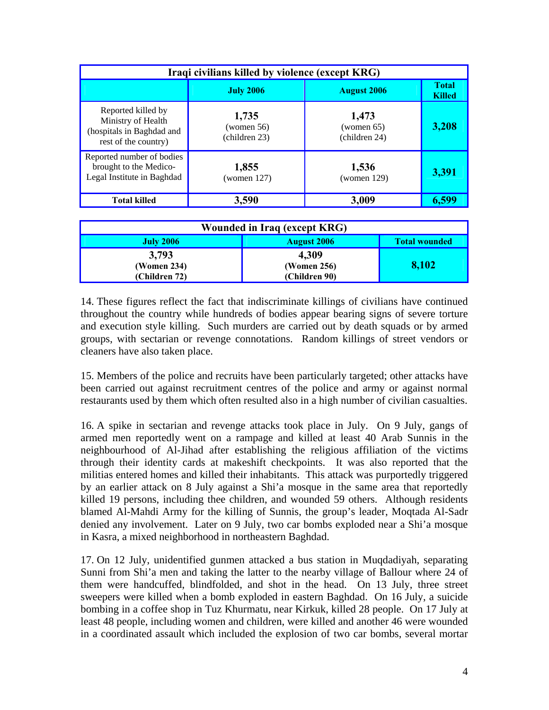| Iraqi civilians killed by violence (except KRG)                                               |                                         |                                      |                               |  |  |  |
|-----------------------------------------------------------------------------------------------|-----------------------------------------|--------------------------------------|-------------------------------|--|--|--|
|                                                                                               | <b>August 2006</b><br><b>July 2006</b>  |                                      | <b>Total</b><br><b>Killed</b> |  |  |  |
| Reported killed by<br>Ministry of Health<br>(hospitals in Baghdad and<br>rest of the country) | 1,735<br>(women $56$ )<br>(children 23) | 1,473<br>(women 65)<br>(children 24) | 3,208                         |  |  |  |
| Reported number of bodies<br>brought to the Medico-<br>Legal Institute in Baghdad             | 1,855<br>(women $127$ )                 | 1,536<br>(women $129$ )              | 3,391                         |  |  |  |
| <b>Total killed</b>                                                                           | 3,590                                   | 3,009                                | 6,599                         |  |  |  |

| Wounded in Iraq (except KRG) |                    |                      |  |  |  |
|------------------------------|--------------------|----------------------|--|--|--|
| <b>July 2006</b>             | <b>August 2006</b> | <b>Total wounded</b> |  |  |  |
| 3,793                        | 4,309              |                      |  |  |  |
| (Women 234)                  | (Women 256)        | 8,102                |  |  |  |
| (Children 72)                | (Children 90)      |                      |  |  |  |

14. These figures reflect the fact that indiscriminate killings of civilians have continued throughout the country while hundreds of bodies appear bearing signs of severe torture and execution style killing. Such murders are carried out by death squads or by armed groups, with sectarian or revenge connotations. Random killings of street vendors or cleaners have also taken place.

15. Members of the police and recruits have been particularly targeted; other attacks have been carried out against recruitment centres of the police and army or against normal restaurants used by them which often resulted also in a high number of civilian casualties.

16. A spike in sectarian and revenge attacks took place in July. On 9 July, gangs of armed men reportedly went on a rampage and killed at least 40 Arab Sunnis in the neighbourhood of Al-Jihad after establishing the religious affiliation of the victims through their identity cards at makeshift checkpoints. It was also reported that the militias entered homes and killed their inhabitants. This attack was purportedly triggered by an earlier attack on 8 July against a Shi'a mosque in the same area that reportedly killed 19 persons, including thee children, and wounded 59 others. Although residents blamed Al-Mahdi Army for the killing of Sunnis, the group's leader, Moqtada Al-Sadr denied any involvement. Later on 9 July, two car bombs exploded near a Shi'a mosque in Kasra, a mixed neighborhood in northeastern Baghdad.

17. On 12 July, unidentified gunmen attacked a bus station in Muqdadiyah, separating Sunni from Shi'a men and taking the latter to the nearby village of Ballour where 24 of them were handcuffed, blindfolded, and shot in the head. On 13 July, three street sweepers were killed when a bomb exploded in eastern Baghdad. On 16 July, a suicide bombing in a coffee shop in Tuz Khurmatu, near Kirkuk, killed 28 people. On 17 July at least 48 people, including women and children, were killed and another 46 were wounded in a coordinated assault which included the explosion of two car bombs, several mortar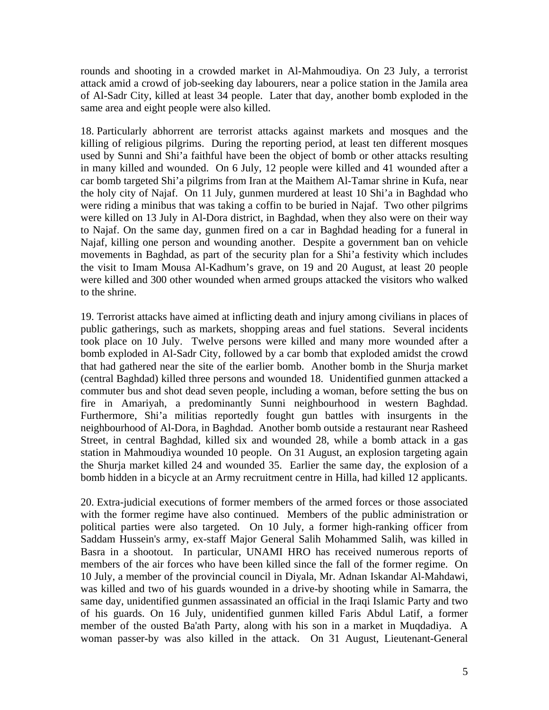rounds and shooting in a crowded market in Al-Mahmoudiya. On 23 July, a terrorist attack amid a crowd of job-seeking day labourers, near a police station in the Jamila area of Al-Sadr City, killed at least 34 people. Later that day, another bomb exploded in the same area and eight people were also killed.

18. Particularly abhorrent are terrorist attacks against markets and mosques and the killing of religious pilgrims. During the reporting period, at least ten different mosques used by Sunni and Shi'a faithful have been the object of bomb or other attacks resulting in many killed and wounded. On 6 July, 12 people were killed and 41 wounded after a car bomb targeted Shi'a pilgrims from Iran at the Maithem Al-Tamar shrine in Kufa, near the holy city of Najaf. On 11 July, gunmen murdered at least 10 Shi'a in Baghdad who were riding a minibus that was taking a coffin to be buried in Najaf. Two other pilgrims were killed on 13 July in Al-Dora district, in Baghdad, when they also were on their way to Najaf. On the same day, gunmen fired on a car in Baghdad heading for a funeral in Najaf, killing one person and wounding another. Despite a government ban on vehicle movements in Baghdad, as part of the security plan for a Shi'a festivity which includes the visit to Imam Mousa Al-Kadhum's grave, on 19 and 20 August, at least 20 people were killed and 300 other wounded when armed groups attacked the visitors who walked to the shrine.

19. Terrorist attacks have aimed at inflicting death and injury among civilians in places of public gatherings, such as markets, shopping areas and fuel stations. Several incidents took place on 10 July. Twelve persons were killed and many more wounded after a bomb exploded in Al-Sadr City, followed by a car bomb that exploded amidst the crowd that had gathered near the site of the earlier bomb. Another bomb in the Shurja market (central Baghdad) killed three persons and wounded 18. Unidentified gunmen attacked a commuter bus and shot dead seven people, including a woman, before setting the bus on fire in Amariyah, a predominantly Sunni neighbourhood in western Baghdad. Furthermore, Shi'a militias reportedly fought gun battles with insurgents in the neighbourhood of Al-Dora, in Baghdad. Another bomb outside a restaurant near Rasheed Street, in central Baghdad, killed six and wounded 28, while a bomb attack in a gas station in Mahmoudiya wounded 10 people. On 31 August, an explosion targeting again the Shurja market killed 24 and wounded 35. Earlier the same day, the explosion of a bomb hidden in a bicycle at an Army recruitment centre in Hilla, had killed 12 applicants.

20. Extra-judicial executions of former members of the armed forces or those associated with the former regime have also continued. Members of the public administration or political parties were also targeted. On 10 July, a former high-ranking officer from Saddam Hussein's army, ex-staff Major General Salih Mohammed Salih, was killed in Basra in a shootout. In particular, UNAMI HRO has received numerous reports of members of the air forces who have been killed since the fall of the former regime. On 10 July, a member of the provincial council in Diyala, Mr. Adnan Iskandar Al-Mahdawi, was killed and two of his guards wounded in a drive-by shooting while in Samarra, the same day, unidentified gunmen assassinated an official in the Iraqi Islamic Party and two of his guards. On 16 July, unidentified gunmen killed Faris Abdul Latif, a former member of the ousted Ba'ath Party, along with his son in a market in Muqdadiya. A woman passer-by was also killed in the attack. On 31 August, Lieutenant-General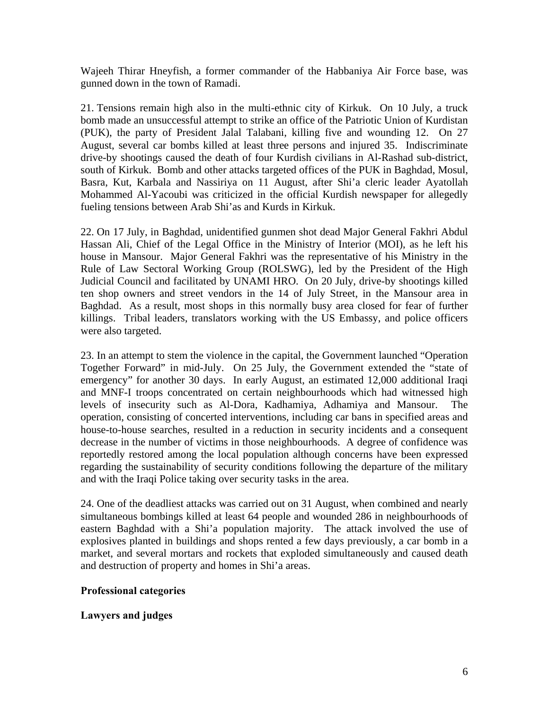Wajeeh Thirar Hneyfish, a former commander of the Habbaniya Air Force base, was gunned down in the town of Ramadi.

21. Tensions remain high also in the multi-ethnic city of Kirkuk. On 10 July, a truck bomb made an unsuccessful attempt to strike an office of the Patriotic Union of Kurdistan (PUK), the party of President Jalal Talabani, killing five and wounding 12. On 27 August, several car bombs killed at least three persons and injured 35. Indiscriminate drive-by shootings caused the death of four Kurdish civilians in Al-Rashad sub-district, south of Kirkuk. Bomb and other attacks targeted offices of the PUK in Baghdad, Mosul, Basra, Kut, Karbala and Nassiriya on 11 August, after Shi'a cleric leader Ayatollah Mohammed Al-Yacoubi was criticized in the official Kurdish newspaper for allegedly fueling tensions between Arab Shi'as and Kurds in Kirkuk.

22. On 17 July, in Baghdad, unidentified gunmen shot dead Major General Fakhri Abdul Hassan Ali, Chief of the Legal Office in the Ministry of Interior (MOI), as he left his house in Mansour. Major General Fakhri was the representative of his Ministry in the Rule of Law Sectoral Working Group (ROLSWG), led by the President of the High Judicial Council and facilitated by UNAMI HRO. On 20 July, drive-by shootings killed ten shop owners and street vendors in the 14 of July Street, in the Mansour area in Baghdad. As a result, most shops in this normally busy area closed for fear of further killings. Tribal leaders, translators working with the US Embassy, and police officers were also targeted.

23. In an attempt to stem the violence in the capital, the Government launched "Operation Together Forward" in mid-July. On 25 July, the Government extended the "state of emergency" for another 30 days. In early August, an estimated 12,000 additional Iraqi and MNF-I troops concentrated on certain neighbourhoods which had witnessed high levels of insecurity such as Al-Dora, Kadhamiya, Adhamiya and Mansour. The operation, consisting of concerted interventions, including car bans in specified areas and house-to-house searches, resulted in a reduction in security incidents and a consequent decrease in the number of victims in those neighbourhoods. A degree of confidence was reportedly restored among the local population although concerns have been expressed regarding the sustainability of security conditions following the departure of the military and with the Iraqi Police taking over security tasks in the area.

24. One of the deadliest attacks was carried out on 31 August, when combined and nearly simultaneous bombings killed at least 64 people and wounded 286 in neighbourhoods of eastern Baghdad with a Shi'a population majority. The attack involved the use of explosives planted in buildings and shops rented a few days previously, a car bomb in a market, and several mortars and rockets that exploded simultaneously and caused death and destruction of property and homes in Shi'a areas.

## **Professional categories**

## **Lawyers and judges**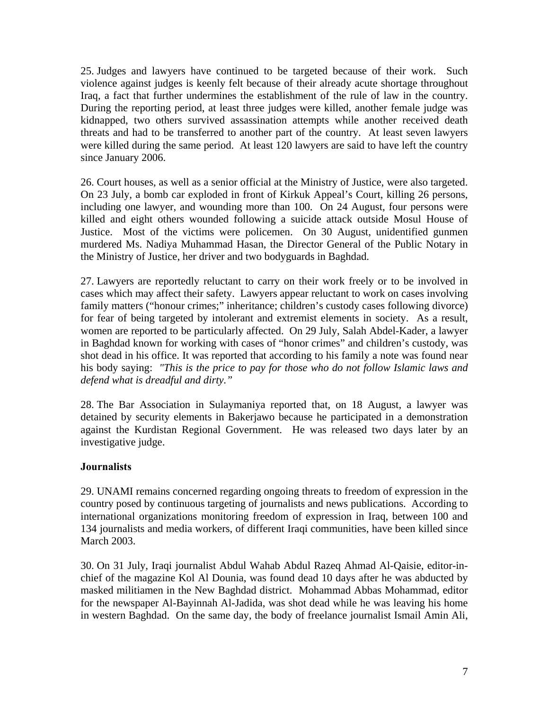25. Judges and lawyers have continued to be targeted because of their work. Such violence against judges is keenly felt because of their already acute shortage throughout Iraq, a fact that further undermines the establishment of the rule of law in the country. During the reporting period, at least three judges were killed, another female judge was kidnapped, two others survived assassination attempts while another received death threats and had to be transferred to another part of the country. At least seven lawyers were killed during the same period. At least 120 lawyers are said to have left the country since January 2006.

26. Court houses, as well as a senior official at the Ministry of Justice, were also targeted. On 23 July, a bomb car exploded in front of Kirkuk Appeal's Court, killing 26 persons, including one lawyer, and wounding more than 100. On 24 August, four persons were killed and eight others wounded following a suicide attack outside Mosul House of Justice. Most of the victims were policemen. On 30 August, unidentified gunmen murdered Ms. Nadiya Muhammad Hasan, the Director General of the Public Notary in the Ministry of Justice, her driver and two bodyguards in Baghdad.

27. Lawyers are reportedly reluctant to carry on their work freely or to be involved in cases which may affect their safety. Lawyers appear reluctant to work on cases involving family matters ("honour crimes;" inheritance; children's custody cases following divorce) for fear of being targeted by intolerant and extremist elements in society. As a result, women are reported to be particularly affected. On 29 July, Salah Abdel-Kader, a lawyer in Baghdad known for working with cases of "honor crimes" and children's custody, was shot dead in his office. It was reported that according to his family a note was found near his body saying: *"This is the price to pay for those who do not follow Islamic laws and defend what is dreadful and dirty."* 

28. The Bar Association in Sulaymaniya reported that, on 18 August, a lawyer was detained by security elements in Bakerjawo because he participated in a demonstration against the Kurdistan Regional Government. He was released two days later by an investigative judge.

## **Journalists**

29. UNAMI remains concerned regarding ongoing threats to freedom of expression in the country posed by continuous targeting of journalists and news publications. According to international organizations monitoring freedom of expression in Iraq, between 100 and 134 journalists and media workers, of different Iraqi communities, have been killed since March 2003.

30. On 31 July, Iraqi journalist Abdul Wahab Abdul Razeq Ahmad Al-Qaisie, editor-inchief of the magazine Kol Al Dounia, was found dead 10 days after he was abducted by masked militiamen in the New Baghdad district. Mohammad Abbas Mohammad, editor for the newspaper Al-Bayinnah Al-Jadida, was shot dead while he was leaving his home in western Baghdad. On the same day, the body of freelance journalist Ismail Amin Ali,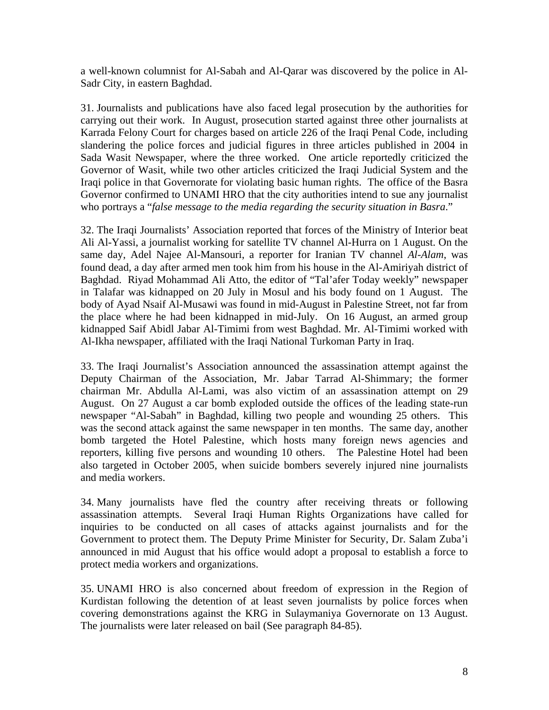a well-known columnist for Al-Sabah and Al-Qarar was discovered by the police in Al-Sadr City, in eastern Baghdad.

31. Journalists and publications have also faced legal prosecution by the authorities for carrying out their work. In August, prosecution started against three other journalists at Karrada Felony Court for charges based on article 226 of the Iraqi Penal Code, including slandering the police forces and judicial figures in three articles published in 2004 in Sada Wasit Newspaper, where the three worked. One article reportedly criticized the Governor of Wasit, while two other articles criticized the Iraqi Judicial System and the Iraqi police in that Governorate for violating basic human rights. The office of the Basra Governor confirmed to UNAMI HRO that the city authorities intend to sue any journalist who portrays a "*false message to the media regarding the security situation in Basra*."

32. The Iraqi Journalists' Association reported that forces of the Ministry of Interior beat Ali Al-Yassi, a journalist working for satellite TV channel Al-Hurra on 1 August. On the same day, Adel Najee Al-Mansouri, a reporter for Iranian TV channel *Al-Alam*, was found dead, a day after armed men took him from his house in the Al-Amiriyah district of Baghdad. Riyad Mohammad Ali Atto, the editor of "Tal'afer Today weekly" newspaper in Talafar was kidnapped on 20 July in Mosul and his body found on 1 August. The body of Ayad Nsaif Al-Musawi was found in mid-August in Palestine Street, not far from the place where he had been kidnapped in mid-July. On 16 August, an armed group kidnapped Saif Abidl Jabar Al-Timimi from west Baghdad. Mr. Al-Timimi worked with Al-Ikha newspaper, affiliated with the Iraqi National Turkoman Party in Iraq.

33. The Iraqi Journalist's Association announced the assassination attempt against the Deputy Chairman of the Association, Mr. Jabar Tarrad Al-Shimmary; the former chairman Mr. Abdulla Al-Lami, was also victim of an assassination attempt on 29 August. On 27 August a car bomb exploded outside the offices of the leading state-run newspaper "Al-Sabah" in Baghdad, killing two people and wounding 25 others. This was the second attack against the same newspaper in ten months. The same day, another bomb targeted the Hotel Palestine, which hosts many foreign news agencies and reporters, killing five persons and wounding 10 others. The Palestine Hotel had been also targeted in October 2005, when suicide bombers severely injured nine journalists and media workers.

34. Many journalists have fled the country after receiving threats or following assassination attempts. Several Iraqi Human Rights Organizations have called for inquiries to be conducted on all cases of attacks against journalists and for the Government to protect them. The Deputy Prime Minister for Security, Dr. Salam Zuba'i announced in mid August that his office would adopt a proposal to establish a force to protect media workers and organizations.

35. UNAMI HRO is also concerned about freedom of expression in the Region of Kurdistan following the detention of at least seven journalists by police forces when covering demonstrations against the KRG in Sulaymaniya Governorate on 13 August. The journalists were later released on bail (See paragraph 84-85).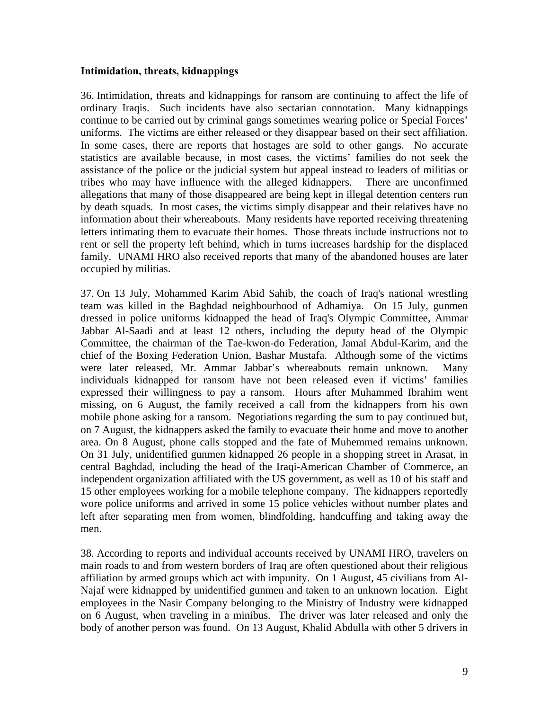#### **Intimidation, threats, kidnappings**

36. Intimidation, threats and kidnappings for ransom are continuing to affect the life of ordinary Iraqis. Such incidents have also sectarian connotation. Many kidnappings continue to be carried out by criminal gangs sometimes wearing police or Special Forces' uniforms. The victims are either released or they disappear based on their sect affiliation. In some cases, there are reports that hostages are sold to other gangs. No accurate statistics are available because, in most cases, the victims' families do not seek the assistance of the police or the judicial system but appeal instead to leaders of militias or tribes who may have influence with the alleged kidnappers. There are unconfirmed allegations that many of those disappeared are being kept in illegal detention centers run by death squads. In most cases, the victims simply disappear and their relatives have no information about their whereabouts. Many residents have reported receiving threatening letters intimating them to evacuate their homes. Those threats include instructions not to rent or sell the property left behind, which in turns increases hardship for the displaced family. UNAMI HRO also received reports that many of the abandoned houses are later occupied by militias.

37. On 13 July, Mohammed Karim Abid Sahib, the coach of Iraq's national wrestling team was killed in the Baghdad neighbourhood of Adhamiya. On 15 July, gunmen dressed in police uniforms kidnapped the head of Iraq's Olympic Committee, Ammar Jabbar Al-Saadi and at least 12 others, including the deputy head of the Olympic Committee, the chairman of the Tae-kwon-do Federation, Jamal Abdul-Karim, and the chief of the Boxing Federation Union, Bashar Mustafa. Although some of the victims were later released, Mr. Ammar Jabbar's whereabouts remain unknown. Many individuals kidnapped for ransom have not been released even if victims' families expressed their willingness to pay a ransom. Hours after Muhammed Ibrahim went missing, on 6 August, the family received a call from the kidnappers from his own mobile phone asking for a ransom. Negotiations regarding the sum to pay continued but, on 7 August, the kidnappers asked the family to evacuate their home and move to another area. On 8 August, phone calls stopped and the fate of Muhemmed remains unknown. On 31 July, unidentified gunmen kidnapped 26 people in a shopping street in Arasat, in central Baghdad, including the head of the Iraqi-American Chamber of Commerce, an independent organization affiliated with the US government, as well as 10 of his staff and 15 other employees working for a mobile telephone company. The kidnappers reportedly wore police uniforms and arrived in some 15 police vehicles without number plates and left after separating men from women, blindfolding, handcuffing and taking away the men.

38. According to reports and individual accounts received by UNAMI HRO, travelers on main roads to and from western borders of Iraq are often questioned about their religious affiliation by armed groups which act with impunity. On 1 August, 45 civilians from Al-Najaf were kidnapped by unidentified gunmen and taken to an unknown location. Eight employees in the Nasir Company belonging to the Ministry of Industry were kidnapped on 6 August, when traveling in a minibus. The driver was later released and only the body of another person was found. On 13 August, Khalid Abdulla with other 5 drivers in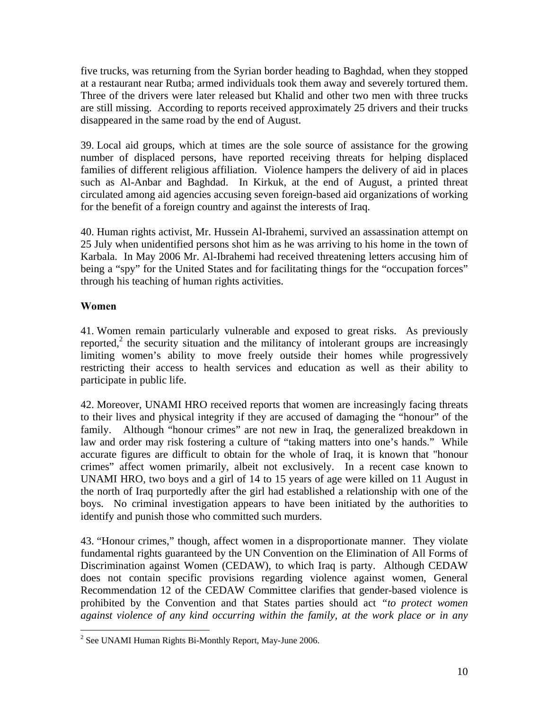five trucks, was returning from the Syrian border heading to Baghdad, when they stopped at a restaurant near Rutba; armed individuals took them away and severely tortured them. Three of the drivers were later released but Khalid and other two men with three trucks are still missing. According to reports received approximately 25 drivers and their trucks disappeared in the same road by the end of August.

39. Local aid groups, which at times are the sole source of assistance for the growing number of displaced persons, have reported receiving threats for helping displaced families of different religious affiliation. Violence hampers the delivery of aid in places such as Al-Anbar and Baghdad. In Kirkuk, at the end of August, a printed threat circulated among aid agencies accusing seven foreign-based aid organizations of working for the benefit of a foreign country and against the interests of Iraq.

40. Human rights activist, Mr. Hussein Al-Ibrahemi, survived an assassination attempt on 25 July when unidentified persons shot him as he was arriving to his home in the town of Karbala. In May 2006 Mr. Al-Ibrahemi had received threatening letters accusing him of being a "spy" for the United States and for facilitating things for the "occupation forces" through his teaching of human rights activities.

## **Women**

41. Women remain particularly vulnerable and exposed to great risks. As previously reported,<sup>2</sup> the security situation and the militancy of intolerant groups are increasingly limiting women's ability to move freely outside their homes while progressively restricting their access to health services and education as well as their ability to participate in public life.

42. Moreover, UNAMI HRO received reports that women are increasingly facing threats to their lives and physical integrity if they are accused of damaging the "honour" of the family. Although "honour crimes" are not new in Iraq, the generalized breakdown in law and order may risk fostering a culture of "taking matters into one's hands." While accurate figures are difficult to obtain for the whole of Iraq, it is known that "honour crimes" affect women primarily, albeit not exclusively. In a recent case known to UNAMI HRO, two boys and a girl of 14 to 15 years of age were killed on 11 August in the north of Iraq purportedly after the girl had established a relationship with one of the boys. No criminal investigation appears to have been initiated by the authorities to identify and punish those who committed such murders.

43. "Honour crimes," though, affect women in a disproportionate manner. They violate fundamental rights guaranteed by the UN Convention on the Elimination of All Forms of Discrimination against Women (CEDAW), to which Iraq is party. Although CEDAW does not contain specific provisions regarding violence against women, General Recommendation 12 of the CEDAW Committee clarifies that gender-based violence is prohibited by the Convention and that States parties should act *"to protect women against violence of any kind occurring within the family, at the work place or in any* 

 $\overline{a}$  $2^2$  See UNAMI Human Rights Bi-Monthly Report, May-June 2006.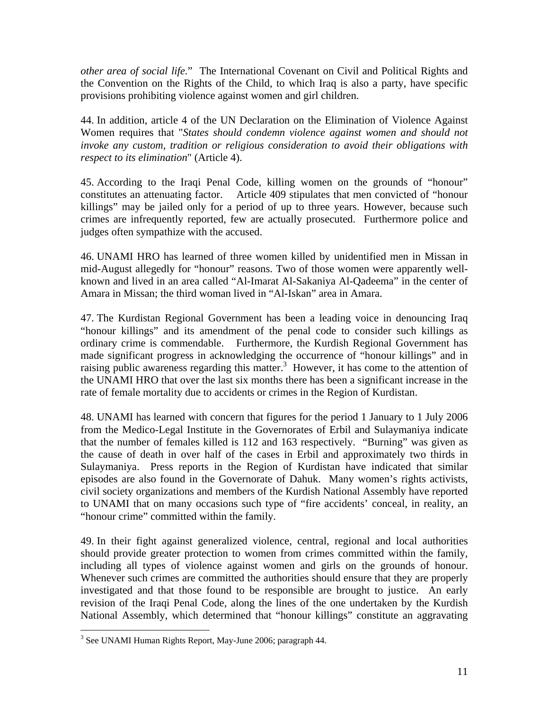*other area of social life.*" The International Covenant on Civil and Political Rights and the Convention on the Rights of the Child, to which Iraq is also a party, have specific provisions prohibiting violence against women and girl children.

44. In addition, article 4 of the UN Declaration on the Elimination of Violence Against Women requires that "*States should condemn violence against women and should not invoke any custom, tradition or religious consideration to avoid their obligations with respect to its elimination*" (Article 4).

45. According to the Iraqi Penal Code, killing women on the grounds of "honour" constitutes an attenuating factor. Article 409 stipulates that men convicted of "honour killings" may be jailed only for a period of up to three years. However, because such crimes are infrequently reported, few are actually prosecuted. Furthermore police and judges often sympathize with the accused.

46. UNAMI HRO has learned of three women killed by unidentified men in Missan in mid-August allegedly for "honour" reasons. Two of those women were apparently wellknown and lived in an area called "Al-Imarat Al-Sakaniya Al-Qadeema" in the center of Amara in Missan; the third woman lived in "Al-Iskan" area in Amara.

47. The Kurdistan Regional Government has been a leading voice in denouncing Iraq "honour killings" and its amendment of the penal code to consider such killings as ordinary crime is commendable. Furthermore, the Kurdish Regional Government has made significant progress in acknowledging the occurrence of "honour killings" and in raising public awareness regarding this matter.<sup>3</sup> However, it has come to the attention of the UNAMI HRO that over the last six months there has been a significant increase in the rate of female mortality due to accidents or crimes in the Region of Kurdistan.

48. UNAMI has learned with concern that figures for the period 1 January to 1 July 2006 from the Medico-Legal Institute in the Governorates of Erbil and Sulaymaniya indicate that the number of females killed is 112 and 163 respectively. "Burning" was given as the cause of death in over half of the cases in Erbil and approximately two thirds in Sulaymaniya. Press reports in the Region of Kurdistan have indicated that similar episodes are also found in the Governorate of Dahuk. Many women's rights activists, civil society organizations and members of the Kurdish National Assembly have reported to UNAMI that on many occasions such type of "fire accidents' conceal, in reality, an "honour crime" committed within the family.

49. In their fight against generalized violence, central, regional and local authorities should provide greater protection to women from crimes committed within the family, including all types of violence against women and girls on the grounds of honour. Whenever such crimes are committed the authorities should ensure that they are properly investigated and that those found to be responsible are brought to justice. An early revision of the Iraqi Penal Code, along the lines of the one undertaken by the Kurdish National Assembly, which determined that "honour killings" constitute an aggravating

<u>.</u>

<sup>&</sup>lt;sup>3</sup> See UNAMI Human Rights Report, May-June 2006; paragraph 44.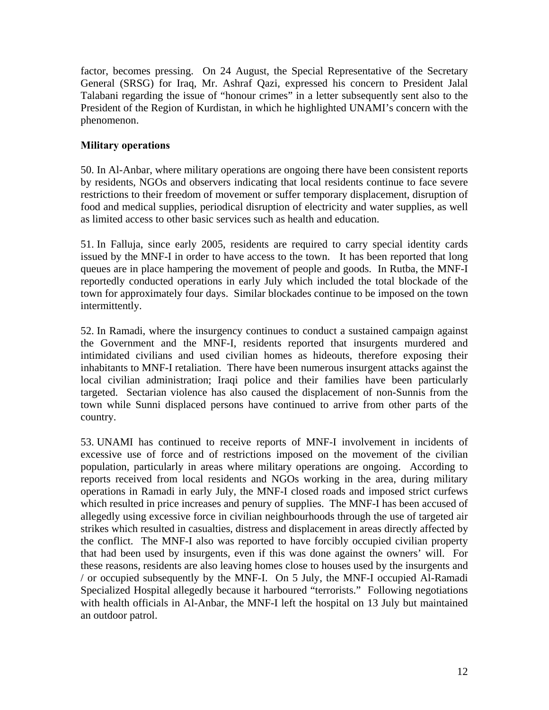factor, becomes pressing. On 24 August, the Special Representative of the Secretary General (SRSG) for Iraq, Mr. Ashraf Qazi, expressed his concern to President Jalal Talabani regarding the issue of "honour crimes" in a letter subsequently sent also to the President of the Region of Kurdistan, in which he highlighted UNAMI's concern with the phenomenon.

## **Military operations**

50. In Al-Anbar, where military operations are ongoing there have been consistent reports by residents, NGOs and observers indicating that local residents continue to face severe restrictions to their freedom of movement or suffer temporary displacement, disruption of food and medical supplies, periodical disruption of electricity and water supplies, as well as limited access to other basic services such as health and education.

51. In Falluja, since early 2005, residents are required to carry special identity cards issued by the MNF-I in order to have access to the town. It has been reported that long queues are in place hampering the movement of people and goods. In Rutba, the MNF-I reportedly conducted operations in early July which included the total blockade of the town for approximately four days. Similar blockades continue to be imposed on the town intermittently.

52. In Ramadi, where the insurgency continues to conduct a sustained campaign against the Government and the MNF-I, residents reported that insurgents murdered and intimidated civilians and used civilian homes as hideouts, therefore exposing their inhabitants to MNF-I retaliation. There have been numerous insurgent attacks against the local civilian administration; Iraqi police and their families have been particularly targeted. Sectarian violence has also caused the displacement of non-Sunnis from the town while Sunni displaced persons have continued to arrive from other parts of the country.

53. UNAMI has continued to receive reports of MNF-I involvement in incidents of excessive use of force and of restrictions imposed on the movement of the civilian population, particularly in areas where military operations are ongoing. According to reports received from local residents and NGOs working in the area, during military operations in Ramadi in early July, the MNF-I closed roads and imposed strict curfews which resulted in price increases and penury of supplies. The MNF-I has been accused of allegedly using excessive force in civilian neighbourhoods through the use of targeted air strikes which resulted in casualties, distress and displacement in areas directly affected by the conflict. The MNF-I also was reported to have forcibly occupied civilian property that had been used by insurgents, even if this was done against the owners' will. For these reasons, residents are also leaving homes close to houses used by the insurgents and / or occupied subsequently by the MNF-I. On 5 July, the MNF-I occupied Al-Ramadi Specialized Hospital allegedly because it harboured "terrorists." Following negotiations with health officials in Al-Anbar, the MNF-I left the hospital on 13 July but maintained an outdoor patrol.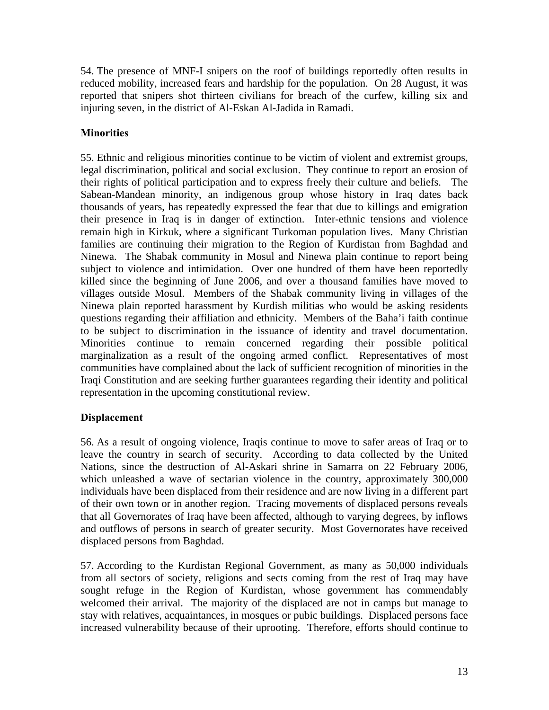54. The presence of MNF-I snipers on the roof of buildings reportedly often results in reduced mobility, increased fears and hardship for the population. On 28 August, it was reported that snipers shot thirteen civilians for breach of the curfew, killing six and injuring seven, in the district of Al-Eskan Al-Jadida in Ramadi.

# **Minorities**

55. Ethnic and religious minorities continue to be victim of violent and extremist groups, legal discrimination, political and social exclusion. They continue to report an erosion of their rights of political participation and to express freely their culture and beliefs. The Sabean-Mandean minority, an indigenous group whose history in Iraq dates back thousands of years, has repeatedly expressed the fear that due to killings and emigration their presence in Iraq is in danger of extinction. Inter-ethnic tensions and violence remain high in Kirkuk, where a significant Turkoman population lives. Many Christian families are continuing their migration to the Region of Kurdistan from Baghdad and Ninewa. The Shabak community in Mosul and Ninewa plain continue to report being subject to violence and intimidation. Over one hundred of them have been reportedly killed since the beginning of June 2006, and over a thousand families have moved to villages outside Mosul. Members of the Shabak community living in villages of the Ninewa plain reported harassment by Kurdish militias who would be asking residents questions regarding their affiliation and ethnicity. Members of the Baha'i faith continue to be subject to discrimination in the issuance of identity and travel documentation. Minorities continue to remain concerned regarding their possible political marginalization as a result of the ongoing armed conflict. Representatives of most communities have complained about the lack of sufficient recognition of minorities in the Iraqi Constitution and are seeking further guarantees regarding their identity and political representation in the upcoming constitutional review.

## **Displacement**

56. As a result of ongoing violence, Iraqis continue to move to safer areas of Iraq or to leave the country in search of security. According to data collected by the United Nations, since the destruction of Al-Askari shrine in Samarra on 22 February 2006, which unleashed a wave of sectarian violence in the country, approximately 300,000 individuals have been displaced from their residence and are now living in a different part of their own town or in another region. Tracing movements of displaced persons reveals that all Governorates of Iraq have been affected, although to varying degrees, by inflows and outflows of persons in search of greater security. Most Governorates have received displaced persons from Baghdad.

57. According to the Kurdistan Regional Government, as many as 50,000 individuals from all sectors of society, religions and sects coming from the rest of Iraq may have sought refuge in the Region of Kurdistan, whose government has commendably welcomed their arrival. The majority of the displaced are not in camps but manage to stay with relatives, acquaintances, in mosques or pubic buildings. Displaced persons face increased vulnerability because of their uprooting. Therefore, efforts should continue to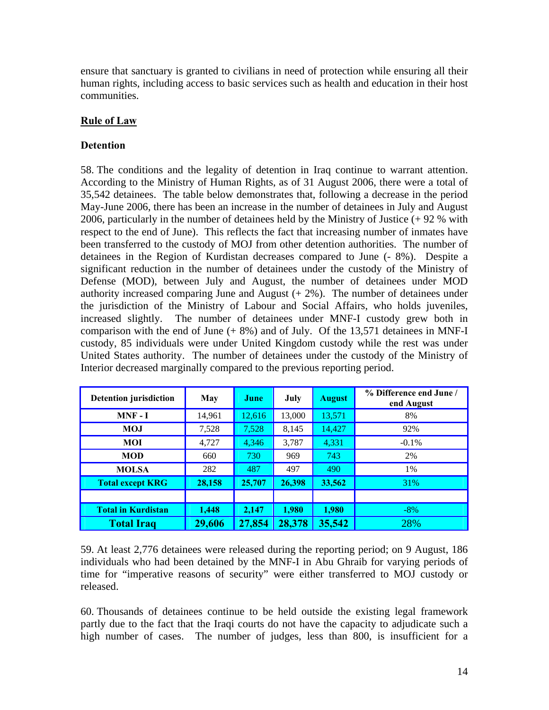ensure that sanctuary is granted to civilians in need of protection while ensuring all their human rights, including access to basic services such as health and education in their host communities.

## **Rule of Law**

## **Detention**

58. The conditions and the legality of detention in Iraq continue to warrant attention. According to the Ministry of Human Rights, as of 31 August 2006, there were a total of 35,542 detainees. The table below demonstrates that, following a decrease in the period May-June 2006, there has been an increase in the number of detainees in July and August 2006, particularly in the number of detainees held by the Ministry of Justice (+ 92 % with respect to the end of June). This reflects the fact that increasing number of inmates have been transferred to the custody of MOJ from other detention authorities. The number of detainees in the Region of Kurdistan decreases compared to June (- 8%). Despite a significant reduction in the number of detainees under the custody of the Ministry of Defense (MOD), between July and August, the number of detainees under MOD authority increased comparing June and August  $(+ 2\%)$ . The number of detainees under the jurisdiction of the Ministry of Labour and Social Affairs, who holds juveniles, increased slightly. The number of detainees under MNF-I custody grew both in comparison with the end of June  $(+ 8\%)$  and of July. Of the 13,571 detainees in MNF-I custody, 85 individuals were under United Kingdom custody while the rest was under United States authority. The number of detainees under the custody of the Ministry of Interior decreased marginally compared to the previous reporting period.

| <b>Detention jurisdiction</b> | May    | June   | July   | <b>August</b> | % Difference end June /<br>end August |
|-------------------------------|--------|--------|--------|---------------|---------------------------------------|
| $MNF - I$                     | 14,961 | 12,616 | 13,000 | 13,571        | 8%                                    |
| MOJ                           | 7,528  | 7,528  | 8,145  | 14,427        | 92%                                   |
| MOI                           | 4,727  | 4,346  | 3,787  | 4,331         | $-0.1\%$                              |
| <b>MOD</b>                    | 660    | 730    | 969    | 743           | 2%                                    |
| <b>MOLSA</b>                  | 282    | 487    | 497    | 490           | 1%                                    |
| <b>Total except KRG</b>       | 28,158 | 25,707 | 26,398 | 33,562        | 31%                                   |
|                               |        |        |        |               |                                       |
| <b>Total in Kurdistan</b>     | 1,448  | 2,147  | 1,980  | 1,980         | $-8\%$                                |
| <b>Total Iraq</b>             | 29,606 | 27,854 | 28,378 | 35,542        | 28%                                   |

59. At least 2,776 detainees were released during the reporting period; on 9 August, 186 individuals who had been detained by the MNF-I in Abu Ghraib for varying periods of time for "imperative reasons of security" were either transferred to MOJ custody or released.

60. Thousands of detainees continue to be held outside the existing legal framework partly due to the fact that the Iraqi courts do not have the capacity to adjudicate such a high number of cases. The number of judges, less than 800, is insufficient for a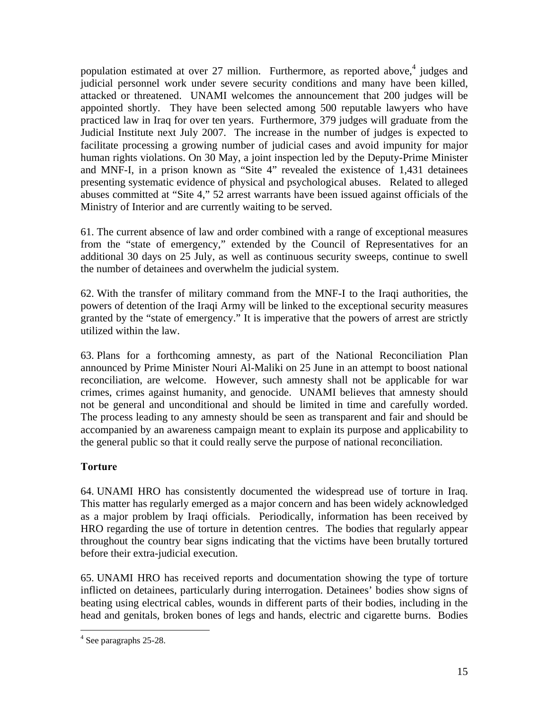population estimated at over 27 million. Furthermore, as reported above,<sup>4</sup> judges and judicial personnel work under severe security conditions and many have been killed, attacked or threatened. UNAMI welcomes the announcement that 200 judges will be appointed shortly. They have been selected among 500 reputable lawyers who have practiced law in Iraq for over ten years. Furthermore, 379 judges will graduate from the Judicial Institute next July 2007. The increase in the number of judges is expected to facilitate processing a growing number of judicial cases and avoid impunity for major human rights violations. On 30 May, a joint inspection led by the Deputy-Prime Minister and MNF-I, in a prison known as "Site 4" revealed the existence of 1,431 detainees presenting systematic evidence of physical and psychological abuses. Related to alleged abuses committed at "Site 4," 52 arrest warrants have been issued against officials of the Ministry of Interior and are currently waiting to be served.

61. The current absence of law and order combined with a range of exceptional measures from the "state of emergency," extended by the Council of Representatives for an additional 30 days on 25 July, as well as continuous security sweeps, continue to swell the number of detainees and overwhelm the judicial system.

62. With the transfer of military command from the MNF-I to the Iraqi authorities, the powers of detention of the Iraqi Army will be linked to the exceptional security measures granted by the "state of emergency." It is imperative that the powers of arrest are strictly utilized within the law.

63. Plans for a forthcoming amnesty, as part of the National Reconciliation Plan announced by Prime Minister Nouri Al-Maliki on 25 June in an attempt to boost national reconciliation, are welcome. However, such amnesty shall not be applicable for war crimes, crimes against humanity, and genocide. UNAMI believes that amnesty should not be general and unconditional and should be limited in time and carefully worded. The process leading to any amnesty should be seen as transparent and fair and should be accompanied by an awareness campaign meant to explain its purpose and applicability to the general public so that it could really serve the purpose of national reconciliation.

## **Torture**

64. UNAMI HRO has consistently documented the widespread use of torture in Iraq. This matter has regularly emerged as a major concern and has been widely acknowledged as a major problem by Iraqi officials. Periodically, information has been received by HRO regarding the use of torture in detention centres. The bodies that regularly appear throughout the country bear signs indicating that the victims have been brutally tortured before their extra-judicial execution.

65. UNAMI HRO has received reports and documentation showing the type of torture inflicted on detainees, particularly during interrogation. Detainees' bodies show signs of beating using electrical cables, wounds in different parts of their bodies, including in the head and genitals, broken bones of legs and hands, electric and cigarette burns. Bodies

 $\overline{a}$ <sup>4</sup> See paragraphs 25-28.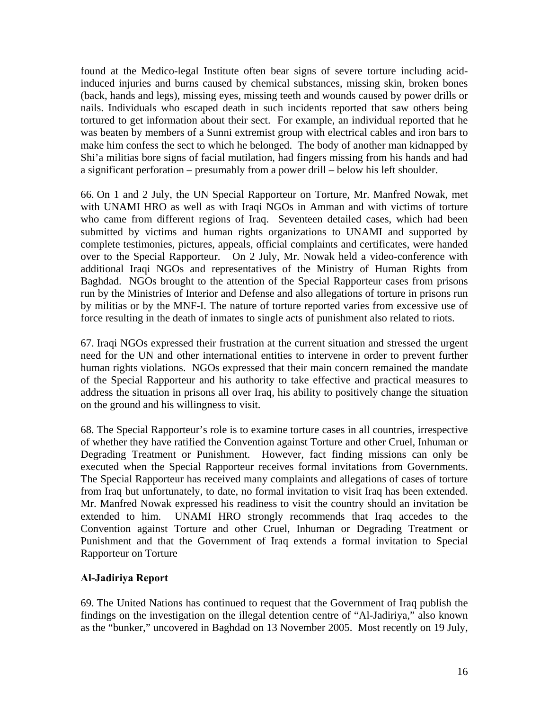found at the Medico-legal Institute often bear signs of severe torture including acidinduced injuries and burns caused by chemical substances, missing skin, broken bones (back, hands and legs), missing eyes, missing teeth and wounds caused by power drills or nails. Individuals who escaped death in such incidents reported that saw others being tortured to get information about their sect. For example, an individual reported that he was beaten by members of a Sunni extremist group with electrical cables and iron bars to make him confess the sect to which he belonged. The body of another man kidnapped by Shi'a militias bore signs of facial mutilation, had fingers missing from his hands and had a significant perforation – presumably from a power drill – below his left shoulder.

66. On 1 and 2 July, the UN Special Rapporteur on Torture, Mr. Manfred Nowak, met with UNAMI HRO as well as with Iraqi NGOs in Amman and with victims of torture who came from different regions of Iraq. Seventeen detailed cases, which had been submitted by victims and human rights organizations to UNAMI and supported by complete testimonies, pictures, appeals, official complaints and certificates, were handed over to the Special Rapporteur. On 2 July, Mr. Nowak held a video-conference with additional Iraqi NGOs and representatives of the Ministry of Human Rights from Baghdad. NGOs brought to the attention of the Special Rapporteur cases from prisons run by the Ministries of Interior and Defense and also allegations of torture in prisons run by militias or by the MNF-I. The nature of torture reported varies from excessive use of force resulting in the death of inmates to single acts of punishment also related to riots.

67. Iraqi NGOs expressed their frustration at the current situation and stressed the urgent need for the UN and other international entities to intervene in order to prevent further human rights violations. NGOs expressed that their main concern remained the mandate of the Special Rapporteur and his authority to take effective and practical measures to address the situation in prisons all over Iraq, his ability to positively change the situation on the ground and his willingness to visit.

68. The Special Rapporteur's role is to examine torture cases in all countries, irrespective of whether they have ratified the Convention against Torture and other Cruel, Inhuman or Degrading Treatment or Punishment. However, fact finding missions can only be executed when the Special Rapporteur receives formal invitations from Governments. The Special Rapporteur has received many complaints and allegations of cases of torture from Iraq but unfortunately, to date, no formal invitation to visit Iraq has been extended. Mr. Manfred Nowak expressed his readiness to visit the country should an invitation be extended to him. UNAMI HRO strongly recommends that Iraq accedes to the Convention against Torture and other Cruel, Inhuman or Degrading Treatment or Punishment and that the Government of Iraq extends a formal invitation to Special Rapporteur on Torture

## **Al-Jadiriya Report**

69. The United Nations has continued to request that the Government of Iraq publish the findings on the investigation on the illegal detention centre of "Al-Jadiriya," also known as the "bunker," uncovered in Baghdad on 13 November 2005. Most recently on 19 July,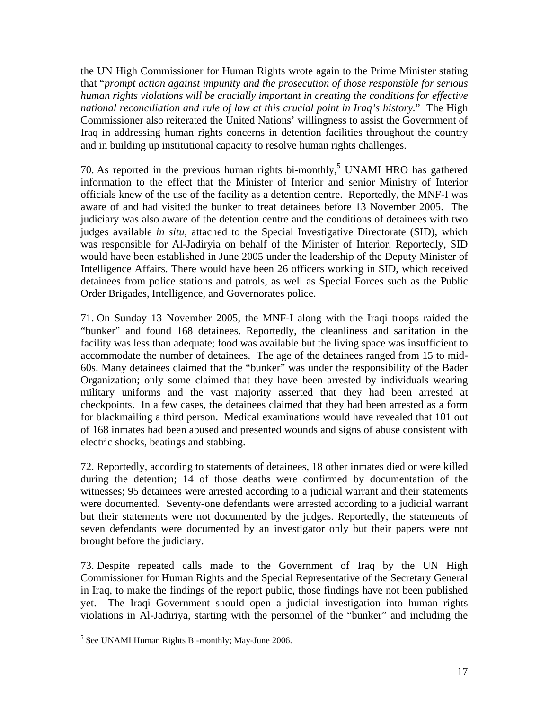the UN High Commissioner for Human Rights wrote again to the Prime Minister stating that "*prompt action against impunity and the prosecution of those responsible for serious human rights violations will be crucially important in creating the conditions for effective national reconciliation and rule of law at this crucial point in Iraq's history.*" The High Commissioner also reiterated the United Nations' willingness to assist the Government of Iraq in addressing human rights concerns in detention facilities throughout the country and in building up institutional capacity to resolve human rights challenges.

70. As reported in the previous human rights bi-monthly,<sup>5</sup> UNAMI HRO has gathered information to the effect that the Minister of Interior and senior Ministry of Interior officials knew of the use of the facility as a detention centre. Reportedly, the MNF-I was aware of and had visited the bunker to treat detainees before 13 November 2005. The judiciary was also aware of the detention centre and the conditions of detainees with two judges available *in situ,* attached to the Special Investigative Directorate (SID), which was responsible for Al-Jadiryia on behalf of the Minister of Interior. Reportedly, SID would have been established in June 2005 under the leadership of the Deputy Minister of Intelligence Affairs. There would have been 26 officers working in SID, which received detainees from police stations and patrols, as well as Special Forces such as the Public Order Brigades, Intelligence, and Governorates police.

71. On Sunday 13 November 2005, the MNF-I along with the Iraqi troops raided the "bunker" and found 168 detainees. Reportedly, the cleanliness and sanitation in the facility was less than adequate; food was available but the living space was insufficient to accommodate the number of detainees. The age of the detainees ranged from 15 to mid-60s. Many detainees claimed that the "bunker" was under the responsibility of the Bader Organization; only some claimed that they have been arrested by individuals wearing military uniforms and the vast majority asserted that they had been arrested at checkpoints. In a few cases, the detainees claimed that they had been arrested as a form for blackmailing a third person. Medical examinations would have revealed that 101 out of 168 inmates had been abused and presented wounds and signs of abuse consistent with electric shocks, beatings and stabbing.

72. Reportedly, according to statements of detainees, 18 other inmates died or were killed during the detention; 14 of those deaths were confirmed by documentation of the witnesses; 95 detainees were arrested according to a judicial warrant and their statements were documented. Seventy-one defendants were arrested according to a judicial warrant but their statements were not documented by the judges. Reportedly, the statements of seven defendants were documented by an investigator only but their papers were not brought before the judiciary.

73. Despite repeated calls made to the Government of Iraq by the UN High Commissioner for Human Rights and the Special Representative of the Secretary General in Iraq, to make the findings of the report public, those findings have not been published yet. The Iraqi Government should open a judicial investigation into human rights violations in Al-Jadiriya, starting with the personnel of the "bunker" and including the

 $\overline{a}$ 

<sup>&</sup>lt;sup>5</sup> See UNAMI Human Rights Bi-monthly; May-June 2006.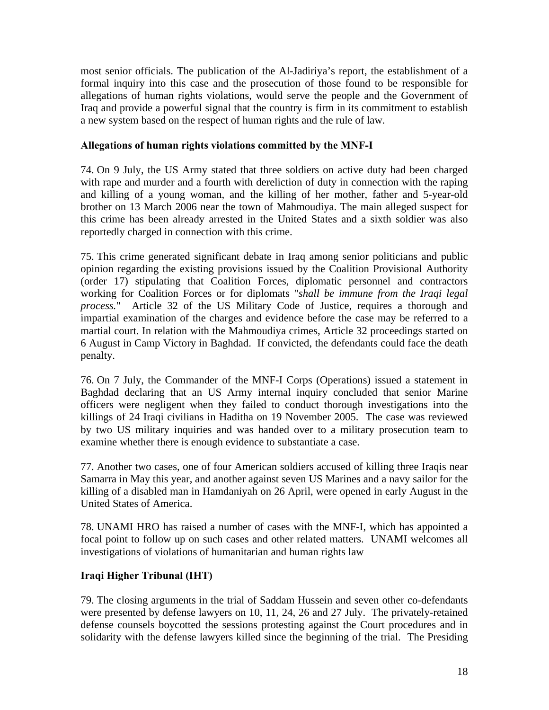most senior officials. The publication of the Al-Jadiriya's report, the establishment of a formal inquiry into this case and the prosecution of those found to be responsible for allegations of human rights violations, would serve the people and the Government of Iraq and provide a powerful signal that the country is firm in its commitment to establish a new system based on the respect of human rights and the rule of law.

#### **Allegations of human rights violations committed by the MNF-I**

74. On 9 July, the US Army stated that three soldiers on active duty had been charged with rape and murder and a fourth with dereliction of duty in connection with the raping and killing of a young woman, and the killing of her mother, father and 5-year-old brother on 13 March 2006 near the town of Mahmoudiya. The main alleged suspect for this crime has been already arrested in the United States and a sixth soldier was also reportedly charged in connection with this crime.

75. This crime generated significant debate in Iraq among senior politicians and public opinion regarding the existing provisions issued by the Coalition Provisional Authority (order 17) stipulating that Coalition Forces, diplomatic personnel and contractors working for Coalition Forces or for diplomats "*shall be immune from the Iraqi legal process.*" Article 32 of the US Military Code of Justice, requires a thorough and impartial examination of the charges and evidence before the case may be referred to a martial court. In relation with the Mahmoudiya crimes, Article 32 proceedings started on 6 August in Camp Victory in Baghdad. If convicted, the defendants could face the death penalty.

76. On 7 July, the Commander of the MNF-I Corps (Operations) issued a statement in Baghdad declaring that an US Army internal inquiry concluded that senior Marine officers were negligent when they failed to conduct thorough investigations into the killings of 24 Iraqi civilians in Haditha on 19 November 2005. The case was reviewed by two US military inquiries and was handed over to a military prosecution team to examine whether there is enough evidence to substantiate a case.

77. Another two cases, one of four American soldiers accused of killing three Iraqis near Samarra in May this year, and another against seven US Marines and a navy sailor for the killing of a disabled man in Hamdaniyah on 26 April, were opened in early August in the United States of America.

78. UNAMI HRO has raised a number of cases with the MNF-I, which has appointed a focal point to follow up on such cases and other related matters. UNAMI welcomes all investigations of violations of humanitarian and human rights law

## **Iraqi Higher Tribunal (IHT)**

79. The closing arguments in the trial of Saddam Hussein and seven other co-defendants were presented by defense lawyers on 10, 11, 24, 26 and 27 July. The privately-retained defense counsels boycotted the sessions protesting against the Court procedures and in solidarity with the defense lawyers killed since the beginning of the trial. The Presiding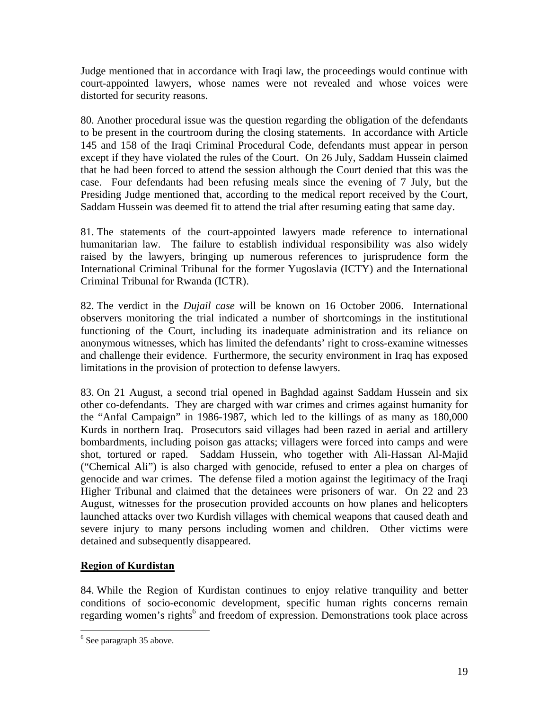Judge mentioned that in accordance with Iraqi law, the proceedings would continue with court-appointed lawyers, whose names were not revealed and whose voices were distorted for security reasons.

80. Another procedural issue was the question regarding the obligation of the defendants to be present in the courtroom during the closing statements. In accordance with Article 145 and 158 of the Iraqi Criminal Procedural Code, defendants must appear in person except if they have violated the rules of the Court. On 26 July, Saddam Hussein claimed that he had been forced to attend the session although the Court denied that this was the case. Four defendants had been refusing meals since the evening of 7 July, but the Presiding Judge mentioned that, according to the medical report received by the Court, Saddam Hussein was deemed fit to attend the trial after resuming eating that same day.

81. The statements of the court-appointed lawyers made reference to international humanitarian law. The failure to establish individual responsibility was also widely raised by the lawyers, bringing up numerous references to jurisprudence form the International Criminal Tribunal for the former Yugoslavia (ICTY) and the International Criminal Tribunal for Rwanda (ICTR).

82. The verdict in the *Dujail case* will be known on 16 October 2006. International observers monitoring the trial indicated a number of shortcomings in the institutional functioning of the Court, including its inadequate administration and its reliance on anonymous witnesses, which has limited the defendants' right to cross-examine witnesses and challenge their evidence. Furthermore, the security environment in Iraq has exposed limitations in the provision of protection to defense lawyers.

83. On 21 August, a second trial opened in Baghdad against Saddam Hussein and six other co-defendants. They are charged with war crimes and crimes against humanity for the "Anfal Campaign" in 1986-1987, which led to the killings of as many as 180,000 Kurds in northern Iraq. Prosecutors said villages had been razed in aerial and artillery bombardments, including poison gas attacks; villagers were forced into camps and were shot, tortured or raped. Saddam Hussein, who together with Ali-Hassan Al-Majid ("Chemical Ali") is also charged with genocide, refused to enter a plea on charges of genocide and war crimes. The defense filed a motion against the legitimacy of the Iraqi Higher Tribunal and claimed that the detainees were prisoners of war. On 22 and 23 August, witnesses for the prosecution provided accounts on how planes and helicopters launched attacks over two Kurdish villages with chemical weapons that caused death and severe injury to many persons including women and children. Other victims were detained and subsequently disappeared.

## **Region of Kurdistan**

84. While the Region of Kurdistan continues to enjoy relative tranquility and better conditions of socio-economic development, specific human rights concerns remain regarding women's rights<sup>6</sup> and freedom of expression. Demonstrations took place across

 $\overline{a}$ 

<sup>&</sup>lt;sup>6</sup> See paragraph 35 above.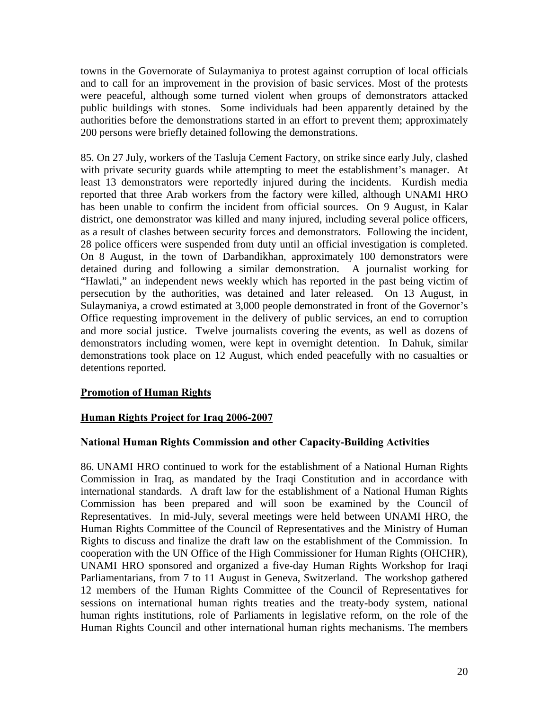towns in the Governorate of Sulaymaniya to protest against corruption of local officials and to call for an improvement in the provision of basic services. Most of the protests were peaceful, although some turned violent when groups of demonstrators attacked public buildings with stones. Some individuals had been apparently detained by the authorities before the demonstrations started in an effort to prevent them; approximately 200 persons were briefly detained following the demonstrations.

85. On 27 July, workers of the Tasluja Cement Factory, on strike since early July, clashed with private security guards while attempting to meet the establishment's manager. At least 13 demonstrators were reportedly injured during the incidents. Kurdish media reported that three Arab workers from the factory were killed, although UNAMI HRO has been unable to confirm the incident from official sources. On 9 August, in Kalar district, one demonstrator was killed and many injured, including several police officers, as a result of clashes between security forces and demonstrators. Following the incident, 28 police officers were suspended from duty until an official investigation is completed. On 8 August, in the town of Darbandikhan, approximately 100 demonstrators were detained during and following a similar demonstration. A journalist working for "Hawlati," an independent news weekly which has reported in the past being victim of persecution by the authorities, was detained and later released. On 13 August, in Sulaymaniya, a crowd estimated at 3,000 people demonstrated in front of the Governor's Office requesting improvement in the delivery of public services, an end to corruption and more social justice. Twelve journalists covering the events, as well as dozens of demonstrators including women, were kept in overnight detention. In Dahuk, similar demonstrations took place on 12 August, which ended peacefully with no casualties or detentions reported.

#### **Promotion of Human Rights**

#### **Human Rights Project for Iraq 2006-2007**

#### **National Human Rights Commission and other Capacity-Building Activities**

86. UNAMI HRO continued to work for the establishment of a National Human Rights Commission in Iraq, as mandated by the Iraqi Constitution and in accordance with international standards. A draft law for the establishment of a National Human Rights Commission has been prepared and will soon be examined by the Council of Representatives. In mid-July, several meetings were held between UNAMI HRO, the Human Rights Committee of the Council of Representatives and the Ministry of Human Rights to discuss and finalize the draft law on the establishment of the Commission. In cooperation with the UN Office of the High Commissioner for Human Rights (OHCHR), UNAMI HRO sponsored and organized a five-day Human Rights Workshop for Iraqi Parliamentarians, from 7 to 11 August in Geneva, Switzerland. The workshop gathered 12 members of the Human Rights Committee of the Council of Representatives for sessions on international human rights treaties and the treaty-body system, national human rights institutions, role of Parliaments in legislative reform, on the role of the Human Rights Council and other international human rights mechanisms. The members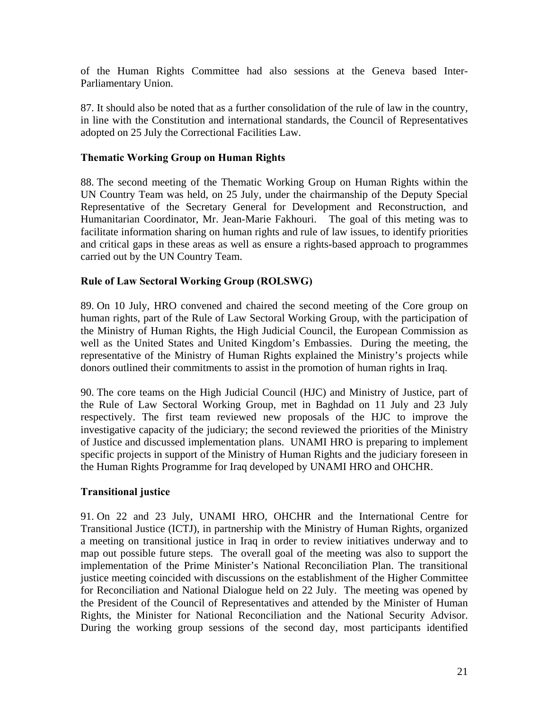of the Human Rights Committee had also sessions at the Geneva based Inter-Parliamentary Union.

87. It should also be noted that as a further consolidation of the rule of law in the country, in line with the Constitution and international standards, the Council of Representatives adopted on 25 July the Correctional Facilities Law.

#### **Thematic Working Group on Human Rights**

88. The second meeting of the Thematic Working Group on Human Rights within the UN Country Team was held, on 25 July, under the chairmanship of the Deputy Special Representative of the Secretary General for Development and Reconstruction, and Humanitarian Coordinator, Mr. Jean-Marie Fakhouri. The goal of this meting was to facilitate information sharing on human rights and rule of law issues, to identify priorities and critical gaps in these areas as well as ensure a rights-based approach to programmes carried out by the UN Country Team.

#### **Rule of Law Sectoral Working Group (ROLSWG)**

89. On 10 July, HRO convened and chaired the second meeting of the Core group on human rights, part of the Rule of Law Sectoral Working Group, with the participation of the Ministry of Human Rights, the High Judicial Council, the European Commission as well as the United States and United Kingdom's Embassies. During the meeting, the representative of the Ministry of Human Rights explained the Ministry's projects while donors outlined their commitments to assist in the promotion of human rights in Iraq.

90. The core teams on the High Judicial Council (HJC) and Ministry of Justice, part of the Rule of Law Sectoral Working Group, met in Baghdad on 11 July and 23 July respectively. The first team reviewed new proposals of the HJC to improve the investigative capacity of the judiciary; the second reviewed the priorities of the Ministry of Justice and discussed implementation plans. UNAMI HRO is preparing to implement specific projects in support of the Ministry of Human Rights and the judiciary foreseen in the Human Rights Programme for Iraq developed by UNAMI HRO and OHCHR.

#### **Transitional justice**

91. On 22 and 23 July, UNAMI HRO, OHCHR and the International Centre for Transitional Justice (ICTJ), in partnership with the Ministry of Human Rights, organized a meeting on transitional justice in Iraq in order to review initiatives underway and to map out possible future steps. The overall goal of the meeting was also to support the implementation of the Prime Minister's National Reconciliation Plan. The transitional justice meeting coincided with discussions on the establishment of the Higher Committee for Reconciliation and National Dialogue held on 22 July. The meeting was opened by the President of the Council of Representatives and attended by the Minister of Human Rights, the Minister for National Reconciliation and the National Security Advisor. During the working group sessions of the second day, most participants identified